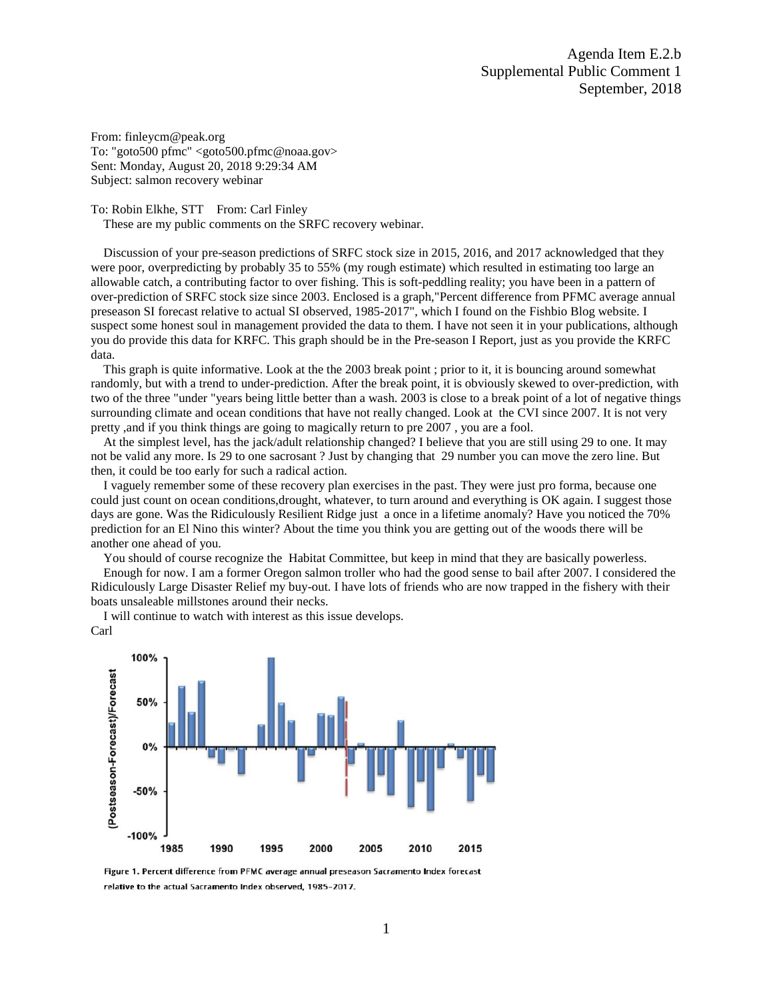From: finleycm@peak.org To: "goto500 pfmc" <goto500.pfmc@noaa.gov> Sent: Monday, August 20, 2018 9:29:34 AM Subject: salmon recovery webinar

To: Robin Elkhe, STT From: Carl Finley

These are my public comments on the SRFC recovery webinar.

 Discussion of your pre-season predictions of SRFC stock size in 2015, 2016, and 2017 acknowledged that they were poor, overpredicting by probably 35 to 55% (my rough estimate) which resulted in estimating too large an allowable catch, a contributing factor to over fishing. This is soft-peddling reality; you have been in a pattern of over-prediction of SRFC stock size since 2003. Enclosed is a graph,"Percent difference from PFMC average annual preseason SI forecast relative to actual SI observed, 1985-2017", which I found on the Fishbio Blog website. I suspect some honest soul in management provided the data to them. I have not seen it in your publications, although you do provide this data for KRFC. This graph should be in the Pre-season I Report, just as you provide the KRFC data.

 This graph is quite informative. Look at the the 2003 break point ; prior to it, it is bouncing around somewhat randomly, but with a trend to under-prediction. After the break point, it is obviously skewed to over-prediction, with two of the three "under "years being little better than a wash. 2003 is close to a break point of a lot of negative things surrounding climate and ocean conditions that have not really changed. Look at the CVI since 2007. It is not very pretty ,and if you think things are going to magically return to pre 2007 , you are a fool.

 At the simplest level, has the jack/adult relationship changed? I believe that you are still using 29 to one. It may not be valid any more. Is 29 to one sacrosant ? Just by changing that 29 number you can move the zero line. But then, it could be too early for such a radical action.

 I vaguely remember some of these recovery plan exercises in the past. They were just pro forma, because one could just count on ocean conditions, drought, whatever, to turn around and everything is OK again. I suggest those days are gone. Was the Ridiculously Resilient Ridge just a once in a lifetime anomaly? Have you noticed the 70% prediction for an El Nino this winter? About the time you think you are getting out of the woods there will be another one ahead of you.

You should of course recognize the Habitat Committee, but keep in mind that they are basically powerless.

 Enough for now. I am a former Oregon salmon troller who had the good sense to bail after 2007. I considered the Ridiculously Large Disaster Relief my buy-out. I have lots of friends who are now trapped in the fishery with their boats unsaleable millstones around their necks.

 I will continue to watch with interest as this issue develops. Carl



Figure 1. Percent difference from PFMC average annual preseason Sacramento Index forecast relative to the actual Sacramento Index observed, 1985-2017.